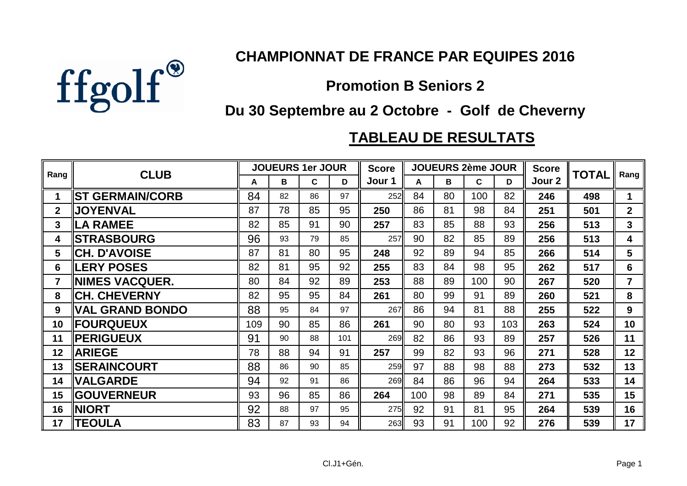

## **CHAMPIONNAT DE FRANCE PAR EQUIPES 2016**

## **Promotion B Seniors 2**

## **Du 30 Septembre au 2 Octobre - Golf de Cheverny**

## **TABLEAU DE RESULTATS**

| Rang         | <b>CLUB</b>            | <b>JOUEURS 1er JOUR</b> |    |    |     | <b>Score</b> | <b>JOUEURS 2ème JOUR</b> |    |     |     | <b>Score</b> | <b>TOTAL</b> | Rang           |
|--------------|------------------------|-------------------------|----|----|-----|--------------|--------------------------|----|-----|-----|--------------|--------------|----------------|
|              |                        | A                       | В  | C. | D   | Jour 1       | A                        | В  | C   | D   | Jour 2       |              |                |
| 1            | <b>ST GERMAIN/CORB</b> | 84                      | 82 | 86 | 97  | 252          | 84                       | 80 | 100 | 82  | 246          | 498          | $\mathbf 1$    |
| $\mathbf{2}$ | <b>JOYENVAL</b>        | 87                      | 78 | 85 | 95  | 250          | 86                       | 81 | 98  | 84  | 251          | 501          | $\overline{2}$ |
| 3            | <b>ILA RAMEE</b>       | 82                      | 85 | 91 | 90  | 257          | 83                       | 85 | 88  | 93  | 256          | 513          | 3              |
| 4            | <b>STRASBOURG</b>      | 96                      | 93 | 79 | 85  | 257          | 90                       | 82 | 85  | 89  | 256          | 513          | 4              |
| 5            | ∥CH. D'AVOISE          | 87                      | 81 | 80 | 95  | 248          | 92                       | 89 | 94  | 85  | 266          | 514          | 5              |
| 6            | <b>ILERY POSES</b>     | 82                      | 81 | 95 | 92  | 255          | 83                       | 84 | 98  | 95  | 262          | 517          | 6              |
| 7            | ∥NIMES VACQUER.        | 80                      | 84 | 92 | 89  | 253          | 88                       | 89 | 100 | 90  | 267          | 520          | $\overline{7}$ |
| 8            | <b>CH. CHEVERNY</b>    | 82                      | 95 | 95 | 84  | 261          | 80                       | 99 | 91  | 89  | 260          | 521          | 8              |
| 9            | <b>VAL GRAND BONDO</b> | 88                      | 95 | 84 | 97  | 267          | 86                       | 94 | 81  | 88  | 255          | 522          | 9              |
| 10           | <b>  FOURQUEUX</b>     | 109                     | 90 | 85 | 86  | 261          | 90                       | 80 | 93  | 103 | 263          | 524          | 10             |
| 11           | <b>  PERIGUEUX</b>     | 91                      | 90 | 88 | 101 | 269          | 82                       | 86 | 93  | 89  | 257          | 526          | 11             |
| 12           | <b>ARIEGE</b>          | 78                      | 88 | 94 | 91  | 257          | 99                       | 82 | 93  | 96  | 271          | 528          | 12             |
| 13           | <b>SERAINCOURT</b>     | 88                      | 86 | 90 | 85  | 259          | 97                       | 88 | 98  | 88  | 273          | 532          | 13             |
| 14           | <b>VALGARDE</b>        | 94                      | 92 | 91 | 86  | 269          | 84                       | 86 | 96  | 94  | 264          | 533          | 14             |
| 15           | <b>  GOUVERNEUR</b>    | 93                      | 96 | 85 | 86  | 264          | 100                      | 98 | 89  | 84  | 271          | 535          | 15             |
| 16           | <b>NIORT</b>           | 92                      | 88 | 97 | 95  | 275          | 92                       | 91 | 81  | 95  | 264          | 539          | 16             |
| 17           | ∥TEOULA                | 83                      | 87 | 93 | 94  | 263          | 93                       | 91 | 100 | 92  | 276          | 539          | 17             |